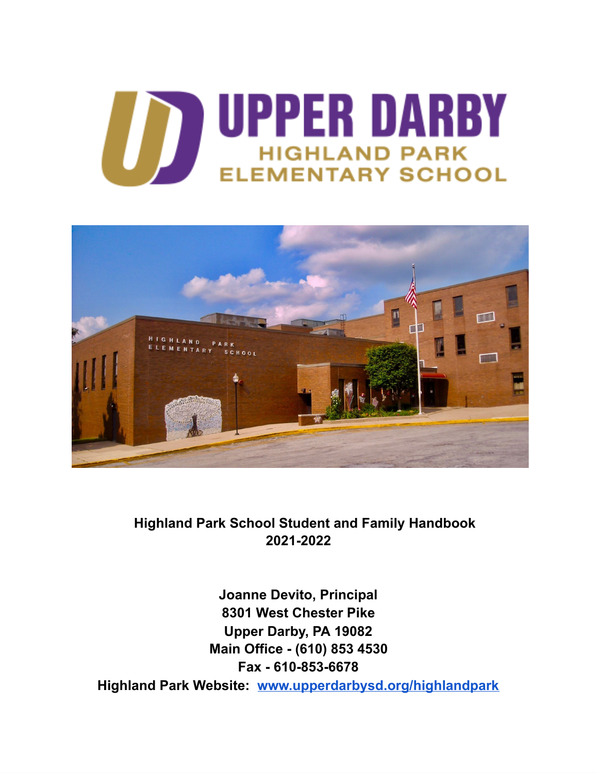



**Highland Park School Student and Family Handbook 2021-2022**

**Joanne Devito, Principal 8301 West Chester Pike Upper Darby, PA 19082 Main Office - (610) 853 4530 Fax - 610-853-6678 Highland Park Website: [www.upperdarbysd.org/highlandpark](http://www.upperdarbysd.org/highlandpark)**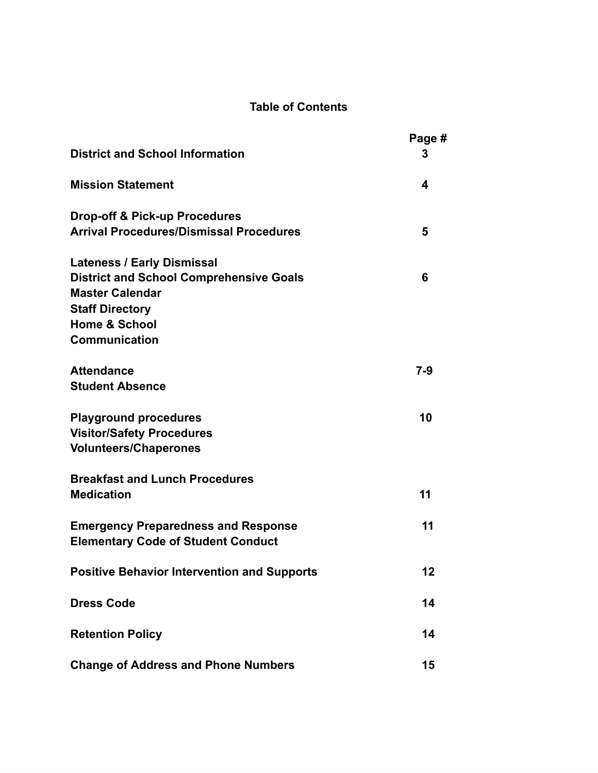# **Table of Contents**

|                                                                          | Page #  |
|--------------------------------------------------------------------------|---------|
| <b>District and School Information</b>                                   | 3       |
| <b>Mission Statement</b>                                                 | 4       |
| <b>Drop-off &amp; Pick-up Procedures</b>                                 |         |
| <b>Arrival Procedures/Dismissal Procedures</b>                           | 5       |
| <b>Lateness / Early Dismissal</b>                                        |         |
| <b>District and School Comprehensive Goals</b><br><b>Master Calendar</b> | 6       |
| <b>Staff Directory</b>                                                   |         |
| <b>Home &amp; School</b><br><b>Communication</b>                         |         |
|                                                                          |         |
| <b>Attendance</b>                                                        | $7 - 9$ |
| <b>Student Absence</b>                                                   |         |
| <b>Playground procedures</b>                                             | 10      |
| <b>Visitor/Safety Procedures</b>                                         |         |
| <b>Volunteers/Chaperones</b>                                             |         |
| <b>Breakfast and Lunch Procedures</b>                                    |         |
| <b>Medication</b>                                                        | 11      |
| <b>Emergency Preparedness and Response</b>                               | 11      |
| <b>Elementary Code of Student Conduct</b>                                |         |
| <b>Positive Behavior Intervention and Supports</b>                       | 12      |
| <b>Dress Code</b>                                                        | 14      |
|                                                                          |         |
| <b>Retention Policy</b>                                                  | 14      |
| <b>Change of Address and Phone Numbers</b>                               | 15      |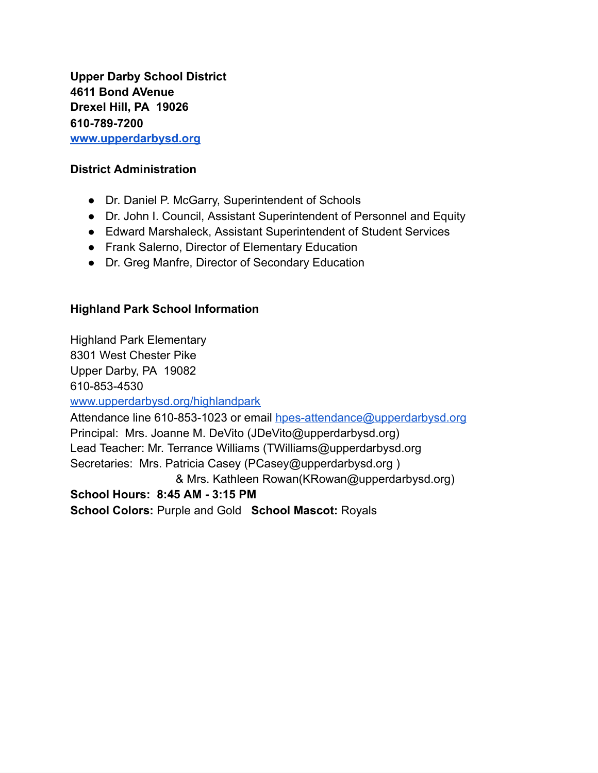**Upper Darby School District 4611 Bond AVenue Drexel Hill, PA 19026 610-789-7200 [www.upperdarbysd.org](http://www.upperdarbysd.org/)**

## **District Administration**

- Dr. Daniel P. McGarry, Superintendent of Schools
- Dr. John I. Council, Assistant Superintendent of Personnel and Equity
- Edward Marshaleck, Assistant Superintendent of Student Services
- Frank Salerno, Director of Elementary Education
- Dr. Greg Manfre, Director of Secondary Education

## **Highland Park School Information**

Highland Park Elementary 8301 West Chester Pike Upper Darby, PA 19082 610-853-4530

#### [www.upperdarbysd.org/highlandpark](http://www.upperdarbysd.org/highlandpark)

Attendance line 610-853-1023 or email [hpes-attendance@upperdarbysd.org](mailto:hpes-attendance@upperdarbysd.org) Principal: Mrs. Joanne M. DeVito (JDeVito@upperdarbysd.org) Lead Teacher: Mr. Terrance Williams (TWilliams@upperdarbysd.org Secretaries: Mrs. Patricia Casey (PCasey@upperdarbysd.org ) & Mrs. Kathleen Rowan(KRowan@upperdarbysd.org) **School Hours: 8:45 AM - 3:15 PM**

**School Colors:** Purple and Gold **School Mascot:** Royals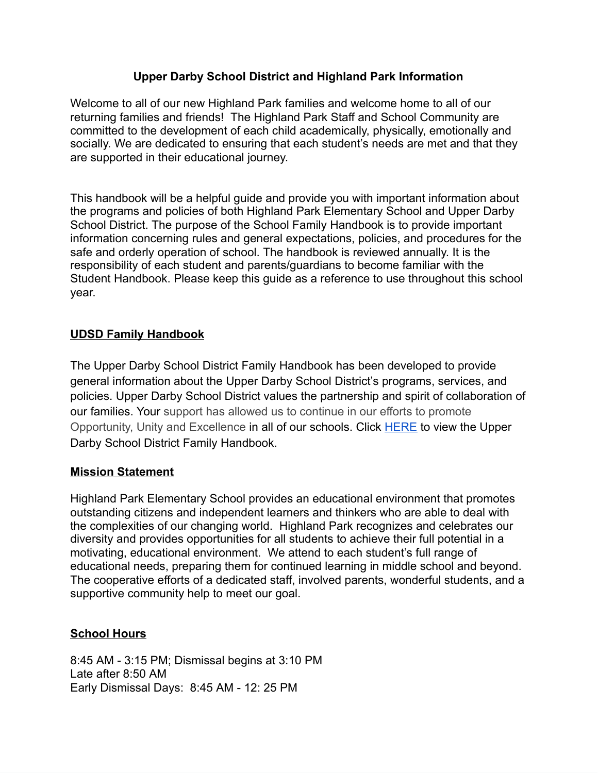## **Upper Darby School District and Highland Park Information**

Welcome to all of our new Highland Park families and welcome home to all of our returning families and friends! The Highland Park Staff and School Community are committed to the development of each child academically, physically, emotionally and socially. We are dedicated to ensuring that each student's needs are met and that they are supported in their educational journey.

This handbook will be a helpful guide and provide you with important information about the programs and policies of both Highland Park Elementary School and Upper Darby School District. The purpose of the School Family Handbook is to provide important information concerning rules and general expectations, policies, and procedures for the safe and orderly operation of school. The handbook is reviewed annually. It is the responsibility of each student and parents/guardians to become familiar with the Student Handbook. Please keep this guide as a reference to use throughout this school year.

## **UDSD Family Handbook**

The Upper Darby School District Family Handbook has been developed to provide general information about the Upper Darby School District's programs, services, and policies. Upper Darby School District values the partnership and spirit of collaboration of our families. Your support has allowed us to continue in our efforts to promote Opportunity, Unity and Excellence in all of our schools. Click [HERE](https://pa02209738.schoolwires.net/domain/2082) to view the Upper Darby School District Family Handbook.

## **Mission Statement**

Highland Park Elementary School provides an educational environment that promotes outstanding citizens and independent learners and thinkers who are able to deal with the complexities of our changing world. Highland Park recognizes and celebrates our diversity and provides opportunities for all students to achieve their full potential in a motivating, educational environment. We attend to each student's full range of educational needs, preparing them for continued learning in middle school and beyond. The cooperative efforts of a dedicated staff, involved parents, wonderful students, and a supportive community help to meet our goal.

## **School Hours**

8:45 AM - 3:15 PM; Dismissal begins at 3:10 PM Late after 8:50 AM Early Dismissal Days: 8:45 AM - 12: 25 PM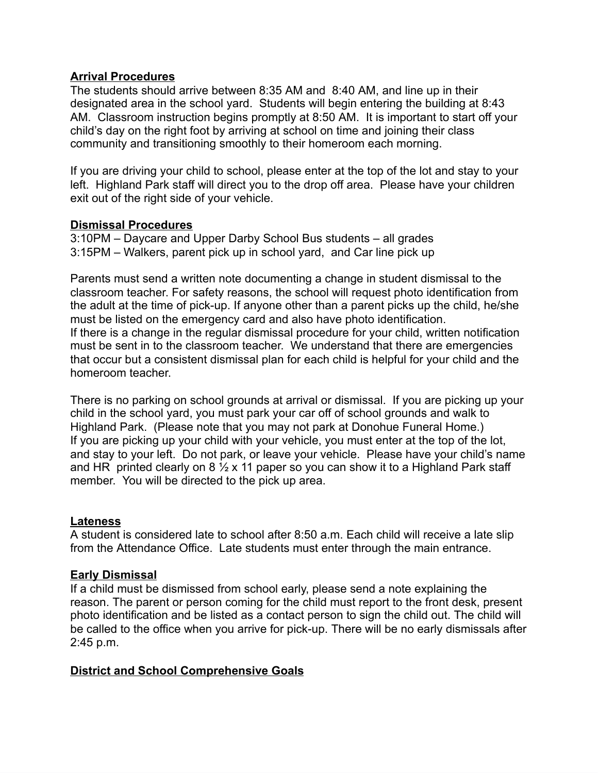#### **Arrival Procedures**

The students should arrive between 8:35 AM and 8:40 AM, and line up in their designated area in the school yard. Students will begin entering the building at 8:43 AM. Classroom instruction begins promptly at 8:50 AM. It is important to start off your child's day on the right foot by arriving at school on time and joining their class community and transitioning smoothly to their homeroom each morning.

If you are driving your child to school, please enter at the top of the lot and stay to your left. Highland Park staff will direct you to the drop off area. Please have your children exit out of the right side of your vehicle.

#### **Dismissal Procedures**

3:10PM – Daycare and Upper Darby School Bus students – all grades 3:15PM – Walkers, parent pick up in school yard, and Car line pick up

Parents must send a written note documenting a change in student dismissal to the classroom teacher. For safety reasons, the school will request photo identification from the adult at the time of pick-up. If anyone other than a parent picks up the child, he/she must be listed on the emergency card and also have photo identification. If there is a change in the regular dismissal procedure for your child, written notification must be sent in to the classroom teacher. We understand that there are emergencies that occur but a consistent dismissal plan for each child is helpful for your child and the homeroom teacher.

There is no parking on school grounds at arrival or dismissal. If you are picking up your child in the school yard, you must park your car off of school grounds and walk to Highland Park. (Please note that you may not park at Donohue Funeral Home.) If you are picking up your child with your vehicle, you must enter at the top of the lot, and stay to your left. Do not park, or leave your vehicle. Please have your child's name and HR printed clearly on 8  $\frac{1}{2}$  x 11 paper so you can show it to a Highland Park staff member. You will be directed to the pick up area.

#### **Lateness**

A student is considered late to school after 8:50 a.m. Each child will receive a late slip from the Attendance Office. Late students must enter through the main entrance.

#### **Early Dismissal**

If a child must be dismissed from school early, please send a note explaining the reason. The parent or person coming for the child must report to the front desk, present photo identification and be listed as a contact person to sign the child out. The child will be called to the office when you arrive for pick-up. There will be no early dismissals after 2:45 p.m.

#### **District and School Comprehensive Goals**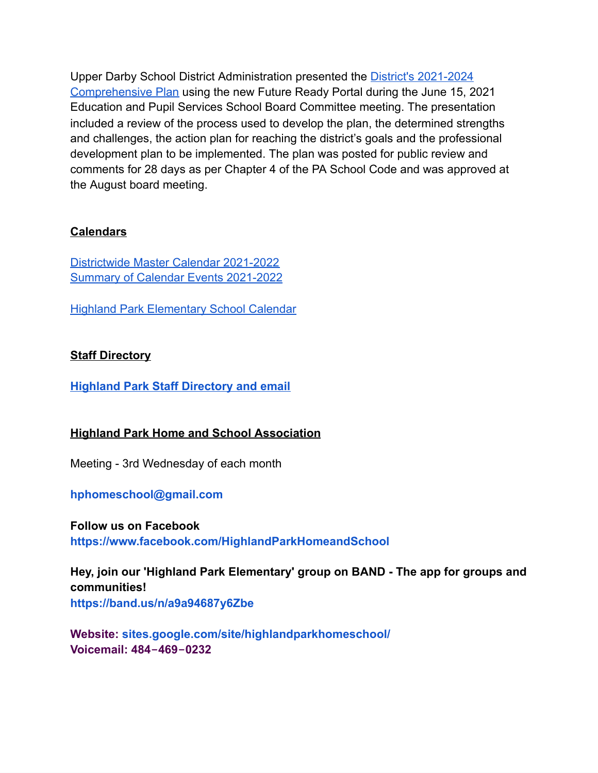Upper Darby School District Administration presented the District's [2021-2024](https://drive.google.com/file/d/1scwpHmDF7uvXpHuVUCfu69I_xaV8Y4p9/view) [Comprehensive](https://drive.google.com/file/d/1scwpHmDF7uvXpHuVUCfu69I_xaV8Y4p9/view) Plan using the new Future Ready Portal during the June 15, 2021 Education and Pupil Services School Board Committee meeting. The presentation included a review of the process used to develop the plan, the determined strengths and challenges, the action plan for reaching the district's goals and the professional development plan to be implemented. The plan was posted for public review and comments for 28 days as per Chapter 4 of the PA School Code and was approved at the August board meeting.

# **Calendars**

[Districtwide](https://go.boarddocs.com/pa/udar/Board.nsf/files/C5CQB861F66E/$file/21-22%20one%20page%20calendar%20-%20approved%20July%2020th.pdf) Master Calendar 2021-2022 Summary of Calendar Events [2021-2022](https://go.boarddocs.com/pa/udar/Board.nsf/files/C5CQB461EC60/$file/SUMMARY%20OF%20CALENDAR%202021-2022%20(4).pdf)

Highland Park [Elementary](https://pa02209738.schoolwires.net/Page/24#calendar15/20210829/month) School Calendar

## **Staff Directory**

**Highland Park Staff [Directory](https://docs.google.com/spreadsheets/d/11puPIi5l_FZVgyzlLrVSwJyxXvJanxsQfZ8_uRhmPi4/edit?usp=sharing) and email**

## **Highland Park Home and School Association**

Meeting - 3rd Wednesday of each month

#### **[hphomeschool@gmail.com](mailto:hphomeschool@gmail.com)**

**Follow us on Facebook <https://www.facebook.com/HighlandParkHomeandSchool>**

**Hey, join our 'Highland Park Elementary' group on BAND - The app for groups and communities! <https://band.us/n/a9a94687y6Zbe>**

**Website: [sites.google.com/site/highlandparkhomeschool/](http://sites.google.com/site/highlandparkhomeschool/) Voicemail: 484‐469‐0232**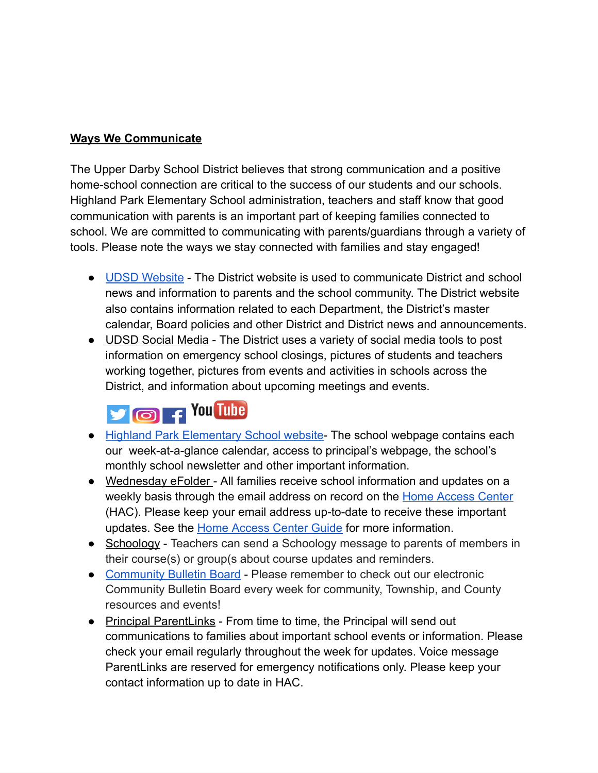## **Ways We Communicate**

The Upper Darby School District believes that strong communication and a positive home-school connection are critical to the success of our students and our schools. Highland Park Elementary School administration, teachers and staff know that good communication with parents is an important part of keeping families connected to school. We are committed to communicating with parents/guardians through a variety of tools. Please note the ways we stay connected with families and stay engaged!

- UDSD [Website](https://pa02209738.schoolwires.net/Domain/4) The District website is used to communicate District and school news and information to parents and the school community. The District website also contains information related to each Department, the District's master calendar, Board policies and other District and District news and announcements.
- UDSD Social Media The District uses a variety of social media tools to post information on emergency school closings, pictures of students and teachers working together, pictures from events and activities in schools across the District, and information about upcoming meetings and events.

# **D** O F You Tube

- Highland Park [Elementary](http://www.upperdarbysd.org/highland%20park) School website- The school webpage contains each our week-at-a-glance calendar, access to principal's webpage, the school's monthly school newsletter and other important information.
- Wednesday eFolder All families receive school information and updates on a weekly basis through the email address on record on the Home [Access](https://www.upperdarbysd.org/HAC) Center (HAC). Please keep your email address up-to-date to receive these important updates. See the Home [Access](https://drive.google.com/file/d/1aIZA93HM4x-bXh6edEq66D_Mc8wonxCF/view?usp=sharing) Center Guide for more information.
- Schoology Teachers can send a Schoology message to parents of members in their course(s) or group(s about course updates and reminders.
- [Community](https://pa02209738.schoolwires.net/communitybulletinboard) Bulletin Board Please remember to check out our electronic Community Bulletin Board every week for community, Township, and County resources and events!
- Principal ParentLinks From time to time, the Principal will send out communications to families about important school events or information. Please check your email regularly throughout the week for updates. Voice message ParentLinks are reserved for emergency notifications only. Please keep your contact information up to date in HAC.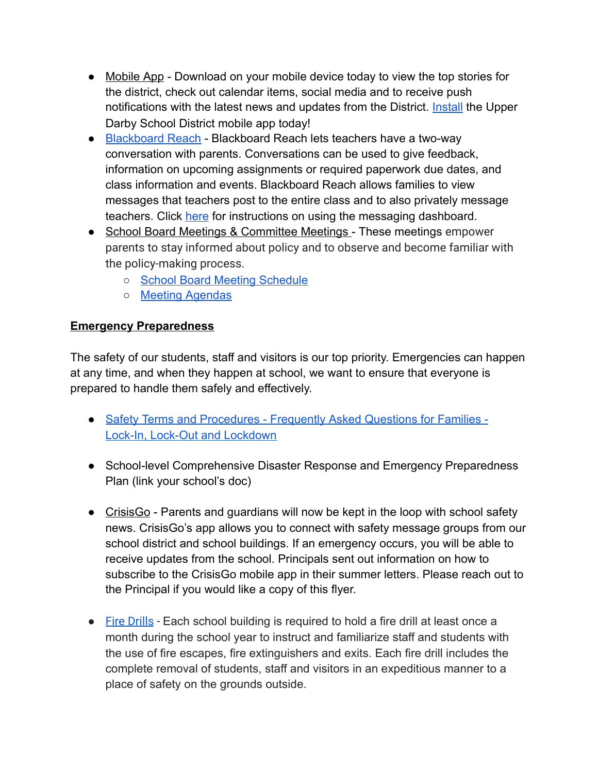- Mobile App Download on your mobile device today to view the top stories for the district, check out calendar items, social media and to receive push notifications with the latest news and updates from the District. [Install](https://help.blackboard.com/Community_Engagement/Parent_Community_Member/Getting_Started) the Upper Darby School District mobile app today!
- [Blackboard](https://www.youtube.com/watch?v=_QzmzsjVQO8) Reach Blackboard Reach lets teachers have a two-way conversation with parents. Conversations can be used to give feedback, information on upcoming assignments or required paperwork due dates, and class information and events. Blackboard Reach allows families to view messages that teachers post to the entire class and to also privately message teachers. Click [here](https://help.blackboard.com/Community_Engagement/Parent_Community_Member/Using_the_App/Blackboard_Reach) for instructions on using the messaging dashboard.
- School Board Meetings & Committee Meetings These meetings empower parents to stay informed about policy and to observe and become familiar with the policy-making process.
	- School Board Meeting [Schedule](https://pa02209738.schoolwires.net/Page/1932)
	- Meeting [Agendas](https://go.boarddocs.com/pa/udar/Board.nsf/Public)

# **Emergency Preparedness**

The safety of our students, staff and visitors is our top priority. Emergencies can happen at any time, and when they happen at school, we want to ensure that everyone is prepared to handle them safely and effectively.

- Safety Terms and [Procedures](https://drive.google.com/file/d/1HPbeFDuSv2F6OB7C3sWlmcnh5jZH9oJ7/view) Frequently Asked Questions for Families Lock-In, Lock-Out and [Lockdown](https://drive.google.com/file/d/1HPbeFDuSv2F6OB7C3sWlmcnh5jZH9oJ7/view)
- School-level Comprehensive Disaster Response and Emergency Preparedness Plan (link your school's doc)
- CrisisGo Parents and guardians will now be kept in the loop with school safety news. CrisisGo's app allows you to connect with safety message groups from our school district and school buildings. If an emergency occurs, you will be able to receive updates from the school. Principals sent out information on how to subscribe to the CrisisGo mobile app in their summer letters. Please reach out to the Principal if you would like a copy of this flyer.
- Fire [Drills](https://go.boarddocs.com/pa/udar/Board.nsf/files/BTXTLL65FD1F/$file/805-AR-0-EmergencyDrills-11-25-19.pdf) Each school building is required to hold a fire drill at least once a month during the school year to instruct and familiarize staff and students with the use of fire escapes, fire extinguishers and exits. Each fire drill includes the complete removal of students, staff and visitors in an expeditious manner to a place of safety on the grounds outside.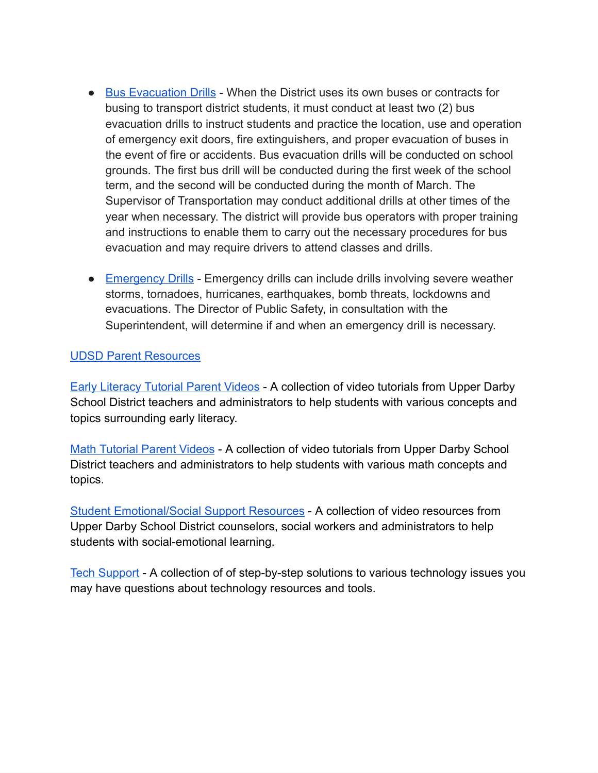- Bus [Evacuation](https://go.boarddocs.com/pa/udar/Board.nsf/files/BTXTLL65FD1F/$file/805-AR-0-EmergencyDrills-11-25-19.pdf) Drills When the District uses its own buses or contracts for busing to transport district students, it must conduct at least two (2) bus evacuation drills to instruct students and practice the location, use and operation of emergency exit doors, fire extinguishers, and proper evacuation of buses in the event of fire or accidents. Bus evacuation drills will be conducted on school grounds. The first bus drill will be conducted during the first week of the school term, and the second will be conducted during the month of March. The Supervisor of Transportation may conduct additional drills at other times of the year when necessary. The district will provide bus operators with proper training and instructions to enable them to carry out the necessary procedures for bus evacuation and may require drivers to attend classes and drills.
- [Emergency](https://go.boarddocs.com/pa/udar/Board.nsf/files/BTXTLL65FD1F/$file/805-AR-0-EmergencyDrills-11-25-19.pdf) Drills Emergency drills can include drills involving severe weather storms, tornadoes, hurricanes, earthquakes, bomb threats, lockdowns and evacuations. The Director of Public Safety, in consultation with the Superintendent, will determine if and when an emergency drill is necessary.

## UDSD Parent [Resources](https://www.youtube.com/c/UpperDarbySchoolDistrict/playlists?view=50&sort=dd&shelf_id=6)

Early [Literacy](https://www.youtube.com/playlist?list=PLKWyl5aPnzqC_MA3wx7Z1Qn3A5o6209a7) Tutorial Parent Videos - A collection of video tutorials from Upper Darby School District teachers and administrators to help students with various concepts and topics surrounding early literacy.

Math [Tutorial](https://www.youtube.com/playlist?list=PLKWyl5aPnzqAz9yyFRpCpKiPPTvzwfnFp) Parent Videos - A collection of video tutorials from Upper Darby School District teachers and administrators to help students with various math concepts and topics.

Student [Emotional/Social](https://www.youtube.com/playlist?list=PLKWyl5aPnzqDsyrnqdLnxOUoLLUFY3Q-U) Support Resources - A collection of video resources from Upper Darby School District counselors, social workers and administrators to help students with social-emotional learning.

Tech [Support](https://www.youtube.com/playlist?list=PLKWyl5aPnzqD2NYOYPJzSV9W-DqOKXDKG) - A collection of of step-by-step solutions to various technology issues you may have questions about technology resources and tools.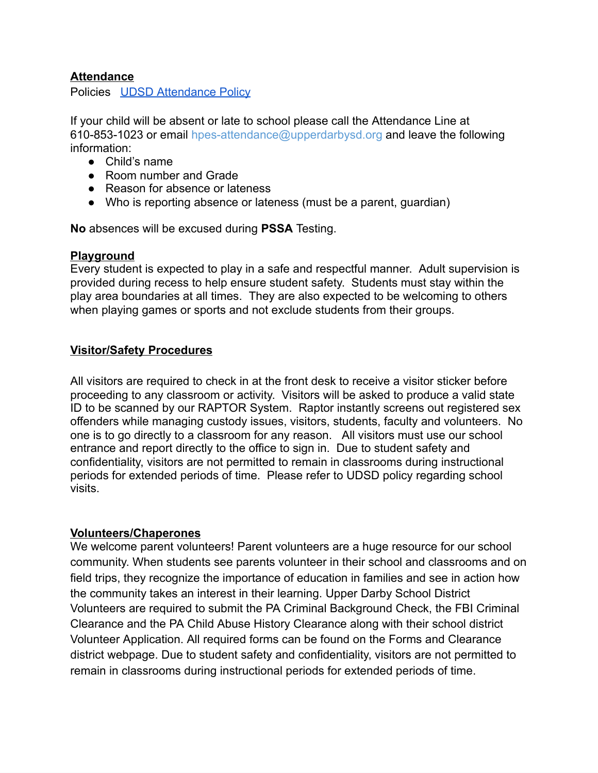#### **Attendance**

Policies UDSD [Attendance](https://go.boarddocs.com/pa/udar/Board.nsf/Public?open&id=policies#) Policy

If your child will be absent or late to school please call the Attendance Line at 610-853-1023 or email hpes-attendance@upperdarbysd.org and leave the following information:

- Child's name
- Room number and Grade
- Reason for absence or lateness
- Who is reporting absence or lateness (must be a parent, quardian)

**No** absences will be excused during **PSSA** Testing.

#### **Playground**

Every student is expected to play in a safe and respectful manner. Adult supervision is provided during recess to help ensure student safety. Students must stay within the play area boundaries at all times. They are also expected to be welcoming to others when playing games or sports and not exclude students from their groups.

## **Visitor/Safety Procedures**

All visitors are required to check in at the front desk to receive a visitor sticker before proceeding to any classroom or activity. Visitors will be asked to produce a valid state ID to be scanned by our RAPTOR System. Raptor instantly screens out registered sex offenders while managing custody issues, visitors, students, faculty and volunteers. No one is to go directly to a classroom for any reason. All visitors must use our school entrance and report directly to the office to sign in. Due to student safety and confidentiality, visitors are not permitted to remain in classrooms during instructional periods for extended periods of time. Please refer to UDSD policy regarding school visits.

#### **Volunteers/Chaperones**

We welcome parent volunteers! Parent volunteers are a huge resource for our school community. When students see parents volunteer in their school and classrooms and on field trips, they recognize the importance of education in families and see in action how the community takes an interest in their learning. Upper Darby School District Volunteers are required to submit the PA Criminal Background Check, the FBI Criminal Clearance and the PA Child Abuse History Clearance along with their school district Volunteer Application. All required forms can be found on the Forms and Clearance district webpage. Due to student safety and confidentiality, visitors are not permitted to remain in classrooms during instructional periods for extended periods of time.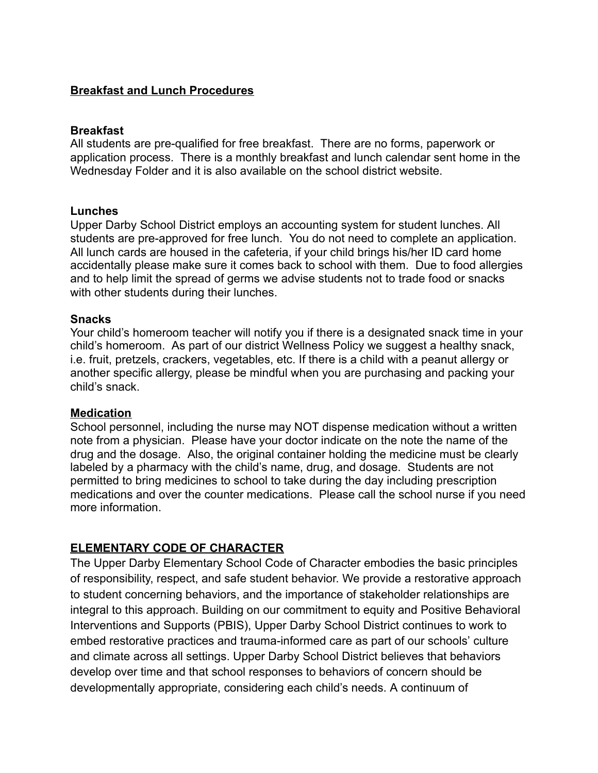## **Breakfast and Lunch Procedures**

#### **Breakfast**

All students are pre-qualified for free breakfast. There are no forms, paperwork or application process. There is a monthly breakfast and lunch calendar sent home in the Wednesday Folder and it is also available on the school district website.

#### **Lunches**

Upper Darby School District employs an accounting system for student lunches. All students are pre-approved for free lunch. You do not need to complete an application. All lunch cards are housed in the cafeteria, if your child brings his/her ID card home accidentally please make sure it comes back to school with them. Due to food allergies and to help limit the spread of germs we advise students not to trade food or snacks with other students during their lunches.

#### **Snacks**

Your child's homeroom teacher will notify you if there is a designated snack time in your child's homeroom. As part of our district Wellness Policy we suggest a healthy snack, i.e. fruit, pretzels, crackers, vegetables, etc. If there is a child with a peanut allergy or another specific allergy, please be mindful when you are purchasing and packing your child's snack.

#### **Medication**

School personnel, including the nurse may NOT dispense medication without a written note from a physician. Please have your doctor indicate on the note the name of the drug and the dosage. Also, the original container holding the medicine must be clearly labeled by a pharmacy with the child's name, drug, and dosage. Students are not permitted to bring medicines to school to take during the day including prescription medications and over the counter medications. Please call the school nurse if you need more information.

#### **ELEMENTARY CODE OF CHARACTER**

The Upper Darby Elementary School Code of Character embodies the basic principles of responsibility, respect, and safe student behavior. We provide a restorative approach to student concerning behaviors, and the importance of stakeholder relationships are integral to this approach. Building on our commitment to equity and Positive Behavioral Interventions and Supports (PBIS), Upper Darby School District continues to work to embed restorative practices and trauma-informed care as part of our schools' culture and climate across all settings. Upper Darby School District believes that behaviors develop over time and that school responses to behaviors of concern should be developmentally appropriate, considering each child's needs. A continuum of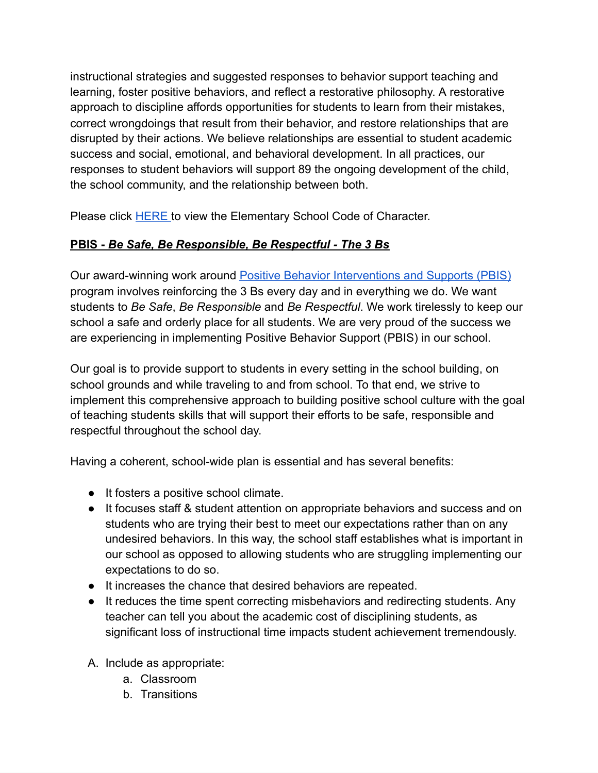instructional strategies and suggested responses to behavior support teaching and learning, foster positive behaviors, and reflect a restorative philosophy. A restorative approach to discipline affords opportunities for students to learn from their mistakes, correct wrongdoings that result from their behavior, and restore relationships that are disrupted by their actions. We believe relationships are essential to student academic success and social, emotional, and behavioral development. In all practices, our responses to student behaviors will support 89 the ongoing development of the child, the school community, and the relationship between both.

Please click [HERE](https://docs.google.com/document/d/1t-Gswj56WpvJH4ofWeQfpUG83ai_vAeL/edit?usp=sharing&ouid=111760353565676344538&rtpof=true&sd=true) to view the Elementary School Code of Character.

# **PBIS -** *Be Safe, Be Responsible, Be Respectful - The 3 Bs*

Our award-winning work around Positive Behavior [Interventions](https://www.upperdarbysd.org//cms/lib/PA02209738/Centricity/Domain/53/UDSD%20PBIS.pdf) and Supports (PBIS) program involves reinforcing the 3 Bs every day and in everything we do. We want students to *Be Safe*, *Be Responsible* and *Be Respectful*. We work tirelessly to keep our school a safe and orderly place for all students. We are very proud of the success we are experiencing in implementing Positive Behavior Support (PBIS) in our school.

Our goal is to provide support to students in every setting in the school building, on school grounds and while traveling to and from school. To that end, we strive to implement this comprehensive approach to building positive school culture with the goal of teaching students skills that will support their efforts to be safe, responsible and respectful throughout the school day.

Having a coherent, school-wide plan is essential and has several benefits:

- It fosters a positive school climate.
- It focuses staff & student attention on appropriate behaviors and success and on students who are trying their best to meet our expectations rather than on any undesired behaviors. In this way, the school staff establishes what is important in our school as opposed to allowing students who are struggling implementing our expectations to do so.
- It increases the chance that desired behaviors are repeated.
- It reduces the time spent correcting misbehaviors and redirecting students. Any teacher can tell you about the academic cost of disciplining students, as significant loss of instructional time impacts student achievement tremendously.
- A. Include as appropriate:
	- a. Classroom
	- b. Transitions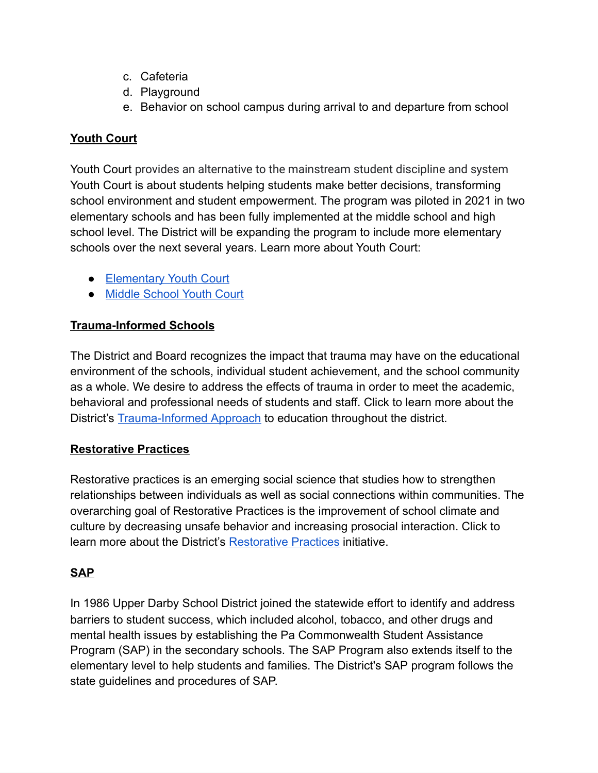- c. Cafeteria
- d. Playground
- e. Behavior on school campus during arrival to and departure from school

# **Youth Court**

Youth Court provides an alternative to the mainstream student discipline and system Youth Court is about students helping students make better decisions, transforming school environment and student empowerment. The program was piloted in 2021 in two elementary schools and has been fully implemented at the middle school and high school level. The District will be expanding the program to include more elementary schools over the next several years. Learn more about Youth Court:

- [Elementary](https://go.boarddocs.com/pa/udar/Board.nsf/files/BE7PFR62B43E/$file/5th%20Grade%20Youth%20Court.pdf) Youth Court
- Middle [School](https://go.boarddocs.com/pa/udar/Board.nsf/files/ANKUW96D5597/$file/Youth%20Court%20PP.pdf) Youth Court

# **Trauma-Informed Schools**

The District and Board recognizes the impact that trauma may have on the educational environment of the schools, individual student achievement, and the school community as a whole. We desire to address the effects of trauma in order to meet the academic, behavioral and professional needs of students and staff. Click to learn more about the District's [Trauma-Informed](https://go.boarddocs.com/pa/udar/Board.nsf/files/C56KTP533C95/$file/Policy%20146.1%20-%20Trauma-Informed%20Approach.pdf) Approach to education throughout the district.

# **Restorative Practices**

Restorative practices is an emerging social science that studies how to strengthen relationships between individuals as well as social connections within communities. The overarching goal of Restorative Practices is the improvement of school climate and culture by decreasing unsafe behavior and increasing prosocial interaction. Click to learn more about the District's [Restorative](https://go.boarddocs.com/pa/udar/Board.nsf/files/BH3N7M5E7069/$file/IIRP%20Committee%20Mtg%20Presentation%20.pdf) Practices initiative.

# **SAP**

In 1986 Upper Darby School District joined the statewide effort to identify and address barriers to student success, which included alcohol, tobacco, and other drugs and mental health issues by establishing the Pa Commonwealth Student Assistance Program (SAP) in the secondary schools. The SAP Program also extends itself to the elementary level to help students and families. The District's SAP program follows the state guidelines and procedures of SAP.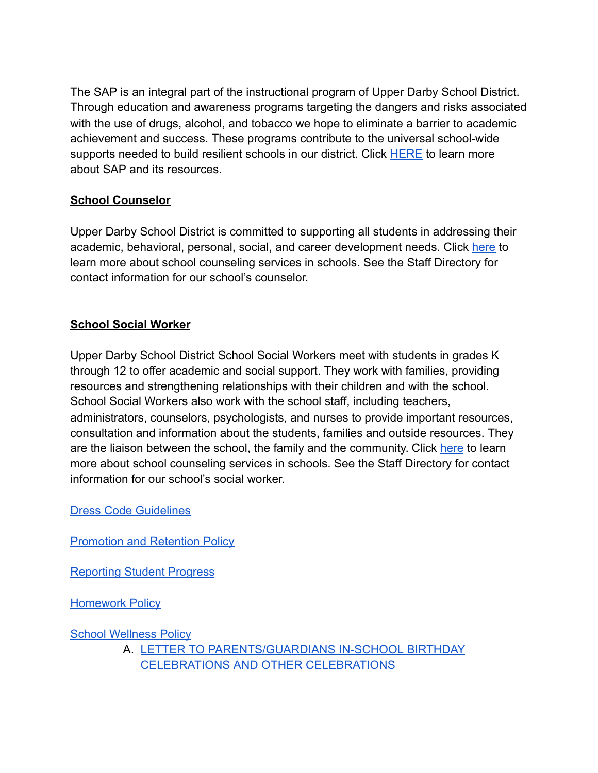The SAP is an integral part of the instructional program of Upper Darby School District. Through education and awareness programs targeting the dangers and risks associated with the use of drugs, alcohol, and tobacco we hope to eliminate a barrier to academic achievement and success. These programs contribute to the universal school-wide supports needed to build resilient schools in our district. Click [HERE](https://pa02209738.schoolwires.net/Page/1950) to learn more about SAP and its resources.

# **School Counselor**

Upper Darby School District is committed to supporting all students in addressing their academic, behavioral, personal, social, and career development needs. Click [here](https://pa02209738.schoolwires.net/Page/4056) to learn more about school counseling services in schools. See the Staff Directory for contact information for our school's counselor.

# **School Social Worker**

Upper Darby School District School Social Workers meet with students in grades K through 12 to offer academic and social support. They work with families, providing resources and strengthening relationships with their children and with the school. School Social Workers also work with the school staff, including teachers, administrators, counselors, psychologists, and nurses to provide important resources, consultation and information about the students, families and outside resources. They are the liaison between the school, the family and the community. Click [here](https://pa02209738.schoolwires.net/Page/4059) to learn more about school counseling services in schools. See the Staff Directory for contact information for our school's social worker.

Dress Code [Guidelines](http://go.boarddocs.com/pa/udar/Board.nsf/goto?open&id=A7AUDF6880F4)

**[Promotion](https://go.boarddocs.com/pa/udar/Board.nsf/Public#) and Retention Policy** 

[Reporting](http://go.boarddocs.com/pa/udar/Board.nsf/goto?open&id=9YS4LX0C2556) Student Progress

**[Homework](http://go.boarddocs.com/pa/udar/Board.nsf/goto?open&id=9YS4HV0BB351) Policy** 

School [Wellness](http://go.boarddocs.com/pa/udar/Board.nsf/goto?open&id=C3BG9V42BFF0) Policy

A. LETTER TO [PARENTS/GUARDIANS](https://go.boarddocs.com/pa/udar/Board.nsf/files/C3BGAC42BFFA/$file/246-AR-4-Letter%20Celebrations-Final-3-19-2020.pdf) IN-SCHOOL BIRTHDAY [CELEBRATIONS](https://go.boarddocs.com/pa/udar/Board.nsf/files/C3BGAC42BFFA/$file/246-AR-4-Letter%20Celebrations-Final-3-19-2020.pdf) AND OTHER CELEBRATIONS